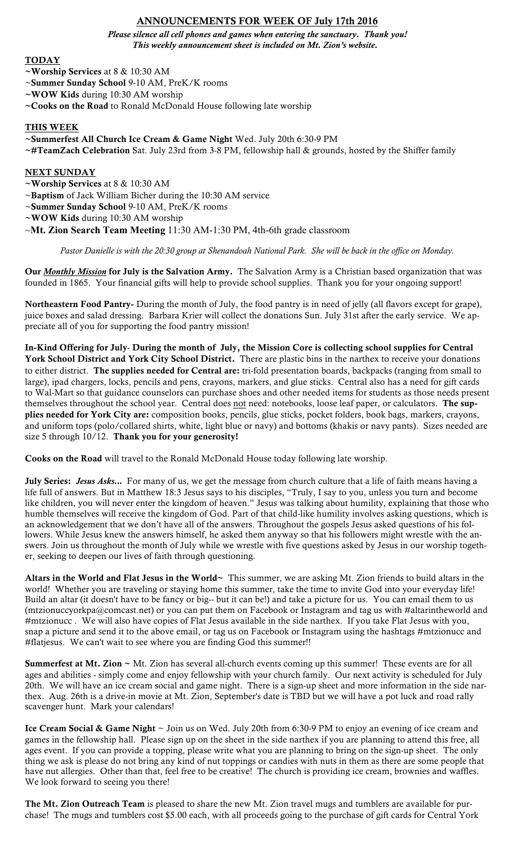# ANNOUNCEMENTS FOR WEEK OF July 17th 2016

*Please silence all cell phones and games when entering the sanctuary. Thank you! This weekly announcement sheet is included on Mt. Zion's website.*

## **TODAY**

- ~Worship Services at 8 & 10:30 AM
- ~Summer Sunday School 9-10 AM, PreK/K rooms
- ~WOW Kids during 10:30 AM worship
- ~Cooks on the Road to Ronald McDonald House following late worship

### THIS WEEK

~Summerfest All Church Ice Cream & Game Night Wed. July 20th 6:30-9 PM

~#TeamZach Celebration Sat. July 23rd from 3-8 PM, fellowship hall & grounds, hosted by the Shiffer family

#### NEXT SUNDAY

~Worship Services at 8 & 10:30 AM

~Baptism of Jack William Bicher during the 10:30 AM service

~Summer Sunday School 9-10 AM, PreK/K rooms

~WOW Kids during 10:30 AM worship

~**Mt. Zion Search Team Meeting** 11:30 AM-1:30 PM, 4th-6th grade classroom

*Pastor Danielle is with the 20:30 group at Shenandoah National Park. She will be back in the office on Monday.*

Our *Monthly Mission* for July is the Salvation Army. The Salvation Army is a Christian based organization that was founded in 1865. Your financial gifts will help to provide school supplies. Thank you for your ongoing support!

Northeastern Food Pantry- During the month of July, the food pantry is in need of jelly (all flavors except for grape), juice boxes and salad dressing. Barbara Krier will collect the donations Sun. July 31st after the early service. We appreciate all of you for supporting the food pantry mission!

In-Kind Offering for July- During the month of July, the Mission Core is collecting school supplies for Central York School District and York City School District. There are plastic bins in the narthex to receive your donations to either district. The supplies needed for Central are: tri-fold presentation boards, backpacks (ranging from small to large), ipad chargers, locks, pencils and pens, crayons, markers, and glue sticks. Central also has a need for gift cards to Wal-Mart so that guidance counselors can purchase shoes and other needed items for students as those needs present themselves throughout the school year. Central does not need: notebooks, loose leaf paper, or calculators. The supplies needed for York City are: composition books, pencils, glue sticks, pocket folders, book bags, markers, crayons, and uniform tops (polo/collared shirts, white, light blue or navy) and bottoms (khakis or navy pants). Sizes needed are size 5 through 10/12. Thank you for your generosity!

Cooks on the Road will travel to the Ronald McDonald House today following late worship.

July Series: *Jesus Asks...* For many of us, we get the message from church culture that a life of faith means having a life full of answers. But in Matthew 18:3 Jesus says to his disciples, "Truly, I say to you, unless you turn and become like children, you will never enter the kingdom of heaven." Jesus was talking about humility, explaining that those who humble themselves will receive the kingdom of God. Part of that child-like humility involves asking questions, which is an acknowledgement that we don't have all of the answers. Throughout the gospels Jesus asked questions of his followers. While Jesus knew the answers himself, he asked them anyway so that his followers might wrestle with the answers. Join us throughout the month of July while we wrestle with five questions asked by Jesus in our worship together, seeking to deepen our lives of faith through questioning.

Altars in the World and Flat Jesus in the World~ This summer, we are asking Mt. Zion friends to build altars in the world! Whether you are traveling or staying home this summer, take the time to invite God into your everyday life! Build an altar (it doesn't have to be fancy or big-- but it can be!) and take a picture for us. You can email them to us (mtzionuccyorkpa@comcast.net) or you can put them on Facebook or Instagram and tag us with #altarintheworld and #mtzionucc . We will also have copies of Flat Jesus available in the side narthex. If you take Flat Jesus with you, snap a picture and send it to the above email, or tag us on Facebook or Instagram using the hashtags #mtzionucc and #flatjesus. We can't wait to see where you are finding God this summer!!

**Summerfest at Mt. Zion**  $\sim$  **Mt.** Zion has several all-church events coming up this summer! These events are for all ages and abilities - simply come and enjoy fellowship with your church family. Our next activity is scheduled for July 20th. We will have an ice cream social and game night. There is a sign-up sheet and more information in the side narthex. Aug. 26th is a drive-in movie at Mt. Zion, September's date is TBD but we will have a pot luck and road rally scavenger hunt. Mark your calendars!

Ice Cream Social & Game Night ~ Join us on Wed. July 20th from 6:30-9 PM to enjoy an evening of ice cream and games in the fellowship hall. Please sign up on the sheet in the side narthex if you are planning to attend this free, all ages event. If you can provide a topping, please write what you are planning to bring on the sign-up sheet. The only thing we ask is please do not bring any kind of nut toppings or candies with nuts in them as there are some people that have nut allergies. Other than that, feel free to be creative! The church is providing ice cream, brownies and waffles. We look forward to seeing you there!

The Mt. Zion Outreach Team is pleased to share the new Mt. Zion travel mugs and tumblers are available for purchase! The mugs and tumblers cost \$5.00 each, with all proceeds going to the purchase of gift cards for Central York